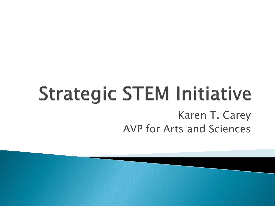## **Strategic STEM Initiative** Karen T. Carey AVP for Arts and Sciences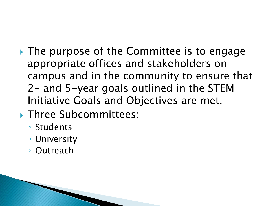- ▸ The purpose of the Committee is to engage appropriate offices and stakeholders on campus and in the community to ensure that 2- and 5-year goals outlined in the STEM Initiative Goals and Objectives are met.
- **Three Subcommittees:** 
	- Students
	- University
	- Outreach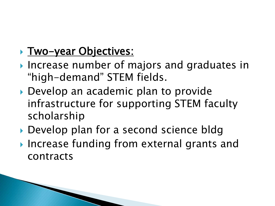### **Two-year Objectives:**

- **Increase number of majors and graduates in** "high-demand" STEM fields.
- ▶ Develop an academic plan to provide infrastructure for supporting STEM faculty scholarship
- ▶ Develop plan for a second science bldg
- ▶ Increase funding from external grants and contracts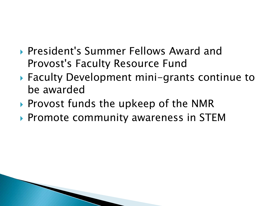- ▶ President's Summer Fellows Award and Provost's Faculty Resource Fund
- ▶ Faculty Development mini-grants continue to be awarded
- ▶ Provost funds the upkeep of the NMR
- ▶ Promote community awareness in STEM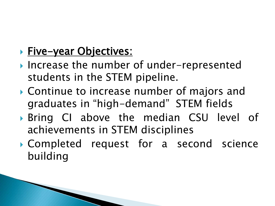### **Five-year Objectives:**

- ▶ Increase the number of under-represented students in the STEM pipeline.
- Continue to increase number of majors and graduates in "high-demand" STEM fields
- Bring CI above the median CSU level of achievements in STEM disciplines
- Completed request for a second science building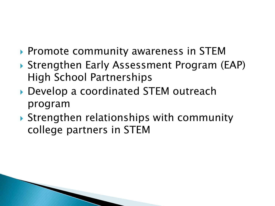- ▶ Promote community awareness in STEM
- ▶ Strengthen Early Assessment Program (EAP) High School Partnerships
- ▶ Develop a coordinated STEM outreach program
- ▶ Strengthen relationships with community college partners in STEM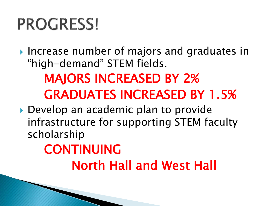# **PROGRESS!**

**■** Increase number of majors and graduates in "high-demand" STEM fields. MAJORS INCREASED BY 2% GRADUATES INCREASED BY 1.5%

▶ Develop an academic plan to provide infrastructure for supporting STEM faculty scholarship

### CONTINUING North Hall and West Hall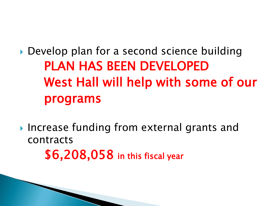▶ Develop plan for a second science building PLAN HAS BEEN DEVELOPED West Hall will help with some of our programs

▶ Increase funding from external grants and contracts \$6,208,058 in this fiscal year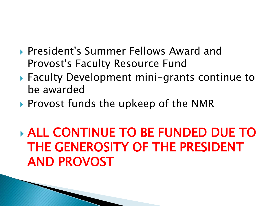- **President's Summer Fellows Award and** Provost's Faculty Resource Fund
- ▶ Faculty Development mini-grants continue to be awarded
- ▶ Provost funds the upkeep of the NMR

 ALL CONTINUE TO BE FUNDED DUE TO THE GENEROSITY OF THE PRESIDENT AND PROVOST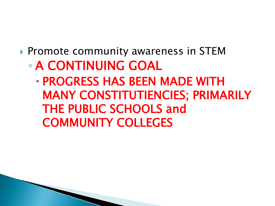### ▶ Promote community awareness in STEM ◦ A CONTINUING GOAL

 PROGRESS HAS BEEN MADE WITH MANY CONSTITUTIENCIES; PRIMARILY THE PUBLIC SCHOOLS and COMMUNITY COLLEGES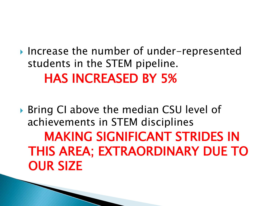▶ Increase the number of under-represented students in the STEM pipeline. HAS INCREASED BY 5%

▶ Bring CI above the median CSU level of achievements in STEM disciplines MAKING SIGNIFICANT STRIDES IN THIS AREA; EXTRAORDINARY DUE TO OUR SIZE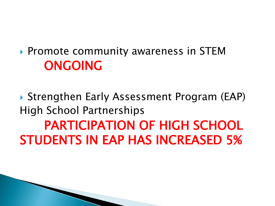▶ Promote community awareness in STEM ONGOING

 Strengthen Early Assessment Program (EAP) High School Partnerships PARTICIPATION OF HIGH SCHOOL STUDENTS IN EAP HAS INCREASED 5%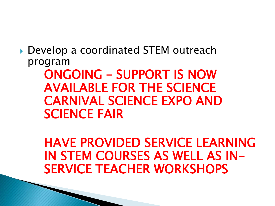▶ Develop a coordinated STEM outreach program

> ONGOING – SUPPORT IS NOW AVAILABLE FOR THE SCIENCE CARNIVAL SCIENCE EXPO AND SCIENCE FAIR

HAVE PROVIDED SERVICE LEARNING IN STEM COURSES AS WELL AS IN-SERVICE TEACHER WORKSHOPS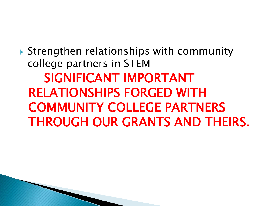▶ Strengthen relationships with community college partners in STEM SIGNIFICANT IMPORTANT RELATIONSHIPS FORGED WITH COMMUNITY COLLEGE PARTNERS THROUGH OUR GRANTS AND THEIRS.